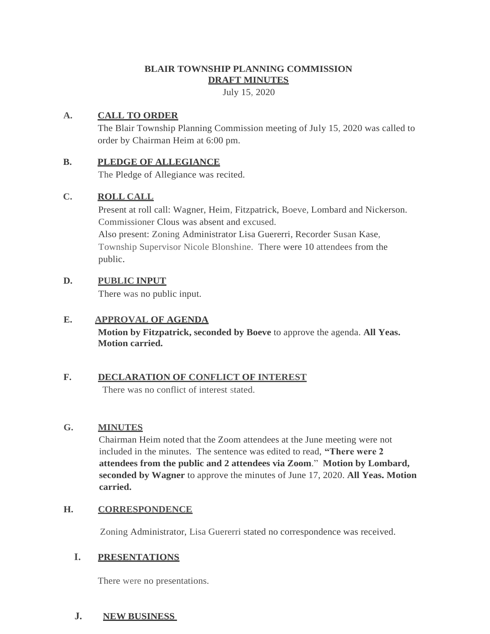# **BLAIR TOWNSHIP PLANNING COMMISSION DRAFT MINUTES**

July 15, 2020

### **A. CALL TO ORDER**

The Blair Township Planning Commission meeting of July 15, 2020 was called to order by Chairman Heim at 6:00 pm.

### **B. PLEDGE OF ALLEGIANCE**

The Pledge of Allegiance was recited.

## **C. ROLL CALL**

Present at roll call: Wagner, Heim, Fitzpatrick, Boeve, Lombard and Nickerson. Commissioner Clous was absent and excused. Also present: Zoning Administrator Lisa Guererri, Recorder Susan Kase, Township Supervisor Nicole Blonshine. There were 10 attendees from the public.

### **D. PUBLIC INPUT**

There was no public input.

### **E. APPROVAL OF AGENDA**

**Motion by Fitzpatrick, seconded by Boeve** to approve the agenda. **All Yeas. Motion carried.**

# **F. DECLARATION OF CONFLICT OF INTEREST**

There was no conflict of interest stated.

#### **G. MINUTES**

Chairman Heim noted that the Zoom attendees at the June meeting were not included in the minutes. The sentence was edited to read, **"There were 2 attendees from the public and 2 attendees via Zoom**." **Motion by Lombard, seconded by Wagner** to approve the minutes of June 17, 2020. **All Yeas. Motion carried.**

## **H. CORRESPONDENCE**

Zoning Administrator, Lisa Guererri stated no correspondence was received.

## **I. PRESENTATIONS**

There were no presentations.

## **J. NEW BUSINESS**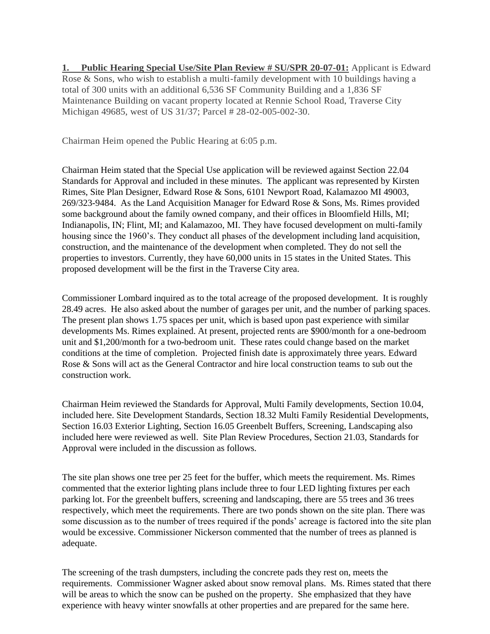**1. Public Hearing Special Use/Site Plan Review # SU/SPR 20-07-01:** Applicant is Edward Rose & Sons, who wish to establish a multi-family development with 10 buildings having a total of 300 units with an additional 6,536 SF Community Building and a 1,836 SF Maintenance Building on vacant property located at Rennie School Road, Traverse City Michigan 49685, west of US 31/37; Parcel # 28-02-005-002-30.

Chairman Heim opened the Public Hearing at 6:05 p.m.

Chairman Heim stated that the Special Use application will be reviewed against Section 22.04 Standards for Approval and included in these minutes. The applicant was represented by Kirsten Rimes, Site Plan Designer, Edward Rose & Sons, 6101 Newport Road, Kalamazoo MI 49003, 269/323-9484. As the Land Acquisition Manager for Edward Rose & Sons, Ms. Rimes provided some background about the family owned company, and their offices in Bloomfield Hills, MI; Indianapolis, IN; Flint, MI; and Kalamazoo, MI. They have focused development on multi-family housing since the 1960's. They conduct all phases of the development including land acquisition, construction, and the maintenance of the development when completed. They do not sell the properties to investors. Currently, they have 60,000 units in 15 states in the United States. This proposed development will be the first in the Traverse City area.

Commissioner Lombard inquired as to the total acreage of the proposed development. It is roughly 28.49 acres. He also asked about the number of garages per unit, and the number of parking spaces. The present plan shows 1.75 spaces per unit, which is based upon past experience with similar developments Ms. Rimes explained. At present, projected rents are \$900/month for a one-bedroom unit and \$1,200/month for a two-bedroom unit. These rates could change based on the market conditions at the time of completion. Projected finish date is approximately three years. Edward Rose & Sons will act as the General Contractor and hire local construction teams to sub out the construction work.

Chairman Heim reviewed the Standards for Approval, Multi Family developments, Section 10.04, included here. Site Development Standards, Section 18.32 Multi Family Residential Developments, Section 16.03 Exterior Lighting, Section 16.05 Greenbelt Buffers, Screening, Landscaping also included here were reviewed as well. Site Plan Review Procedures, Section 21.03, Standards for Approval were included in the discussion as follows.

The site plan shows one tree per 25 feet for the buffer, which meets the requirement. Ms. Rimes commented that the exterior lighting plans include three to four LED lighting fixtures per each parking lot. For the greenbelt buffers, screening and landscaping, there are 55 trees and 36 trees respectively, which meet the requirements. There are two ponds shown on the site plan. There was some discussion as to the number of trees required if the ponds' acreage is factored into the site plan would be excessive. Commissioner Nickerson commented that the number of trees as planned is adequate.

The screening of the trash dumpsters, including the concrete pads they rest on, meets the requirements. Commissioner Wagner asked about snow removal plans. Ms. Rimes stated that there will be areas to which the snow can be pushed on the property. She emphasized that they have experience with heavy winter snowfalls at other properties and are prepared for the same here.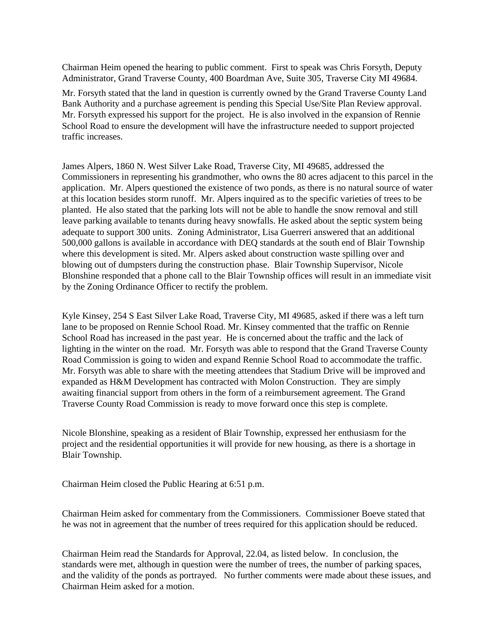Chairman Heim opened the hearing to public comment. First to speak was Chris Forsyth, Deputy Administrator, Grand Traverse County, 400 Boardman Ave, Suite 305, Traverse City MI 49684.

Mr. Forsyth stated that the land in question is currently owned by the Grand Traverse County Land Bank Authority and a purchase agreement is pending this Special Use/Site Plan Review approval. Mr. Forsyth expressed his support for the project. He is also involved in the expansion of Rennie School Road to ensure the development will have the infrastructure needed to support projected traffic increases.

James Alpers, 1860 N. West Silver Lake Road, Traverse City, MI 49685, addressed the Commissioners in representing his grandmother, who owns the 80 acres adjacent to this parcel in the application. Mr. Alpers questioned the existence of two ponds, as there is no natural source of water at this location besides storm runoff. Mr. Alpers inquired as to the specific varieties of trees to be planted. He also stated that the parking lots will not be able to handle the snow removal and still leave parking available to tenants during heavy snowfalls. He asked about the septic system being adequate to support 300 units. Zoning Administrator, Lisa Guerreri answered that an additional 500,000 gallons is available in accordance with DEQ standards at the south end of Blair Township where this development is sited. Mr. Alpers asked about construction waste spilling over and blowing out of dumpsters during the construction phase. Blair Township Supervisor, Nicole Blonshine responded that a phone call to the Blair Township offices will result in an immediate visit by the Zoning Ordinance Officer to rectify the problem.

Kyle Kinsey, 254 S East Silver Lake Road, Traverse City, MI 49685, asked if there was a left turn lane to be proposed on Rennie School Road. Mr. Kinsey commented that the traffic on Rennie School Road has increased in the past year. He is concerned about the traffic and the lack of lighting in the winter on the road. Mr. Forsyth was able to respond that the Grand Traverse County Road Commission is going to widen and expand Rennie School Road to accommodate the traffic. Mr. Forsyth was able to share with the meeting attendees that Stadium Drive will be improved and expanded as H&M Development has contracted with Molon Construction. They are simply awaiting financial support from others in the form of a reimbursement agreement. The Grand Traverse County Road Commission is ready to move forward once this step is complete.

Nicole Blonshine, speaking as a resident of Blair Township, expressed her enthusiasm for the project and the residential opportunities it will provide for new housing, as there is a shortage in Blair Township.

Chairman Heim closed the Public Hearing at 6:51 p.m.

Chairman Heim asked for commentary from the Commissioners. Commissioner Boeve stated that he was not in agreement that the number of trees required for this application should be reduced.

Chairman Heim read the Standards for Approval, 22.04, as listed below. In conclusion, the standards were met, although in question were the number of trees, the number of parking spaces, and the validity of the ponds as portrayed. No further comments were made about these issues, and Chairman Heim asked for a motion.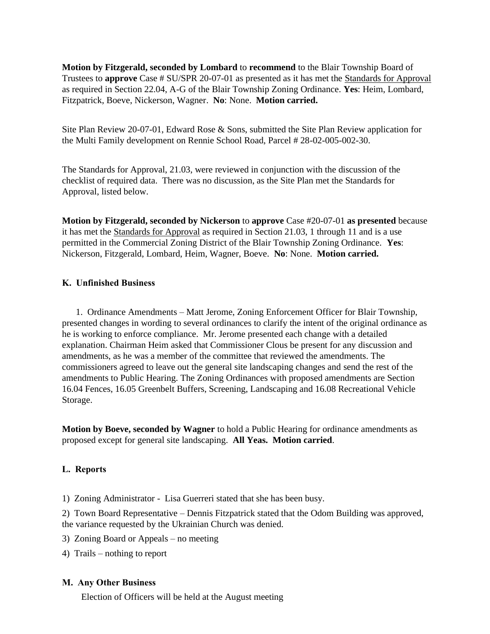**Motion by Fitzgerald, seconded by Lombard** to **recommend** to the Blair Township Board of Trustees to **approve** Case # SU/SPR 20-07-01 as presented as it has met the Standards for Approval as required in Section 22.04, A-G of the Blair Township Zoning Ordinance. **Yes**: Heim, Lombard, Fitzpatrick, Boeve, Nickerson, Wagner. **No**: None. **Motion carried.**

Site Plan Review 20-07-01, Edward Rose & Sons, submitted the Site Plan Review application for the Multi Family development on Rennie School Road, Parcel # 28-02-005-002-30.

The Standards for Approval, 21.03, were reviewed in conjunction with the discussion of the checklist of required data. There was no discussion, as the Site Plan met the Standards for Approval, listed below.

**Motion by Fitzgerald, seconded by Nickerson** to **approve** Case #20-07-01 **as presented** because it has met the Standards for Approval as required in Section 21.03, 1 through 11 and is a use permitted in the Commercial Zoning District of the Blair Township Zoning Ordinance. **Yes**: Nickerson, Fitzgerald, Lombard, Heim, Wagner, Boeve. **No**: None. **Motion carried.** 

#### **K. Unfinished Business**

 1. Ordinance Amendments – Matt Jerome, Zoning Enforcement Officer for Blair Township, presented changes in wording to several ordinances to clarify the intent of the original ordinance as he is working to enforce compliance. Mr. Jerome presented each change with a detailed explanation. Chairman Heim asked that Commissioner Clous be present for any discussion and amendments, as he was a member of the committee that reviewed the amendments. The commissioners agreed to leave out the general site landscaping changes and send the rest of the amendments to Public Hearing. The Zoning Ordinances with proposed amendments are Section 16.04 Fences, 16.05 Greenbelt Buffers, Screening, Landscaping and 16.08 Recreational Vehicle Storage.

**Motion by Boeve, seconded by Wagner** to hold a Public Hearing for ordinance amendments as proposed except for general site landscaping. **All Yeas. Motion carried**.

#### **L. Reports**

1) Zoning Administrator - Lisa Guerreri stated that she has been busy.

2) Town Board Representative – Dennis Fitzpatrick stated that the Odom Building was approved, the variance requested by the Ukrainian Church was denied.

- 3) Zoning Board or Appeals no meeting
- 4) Trails nothing to report

#### **M. Any Other Business**

Election of Officers will be held at the August meeting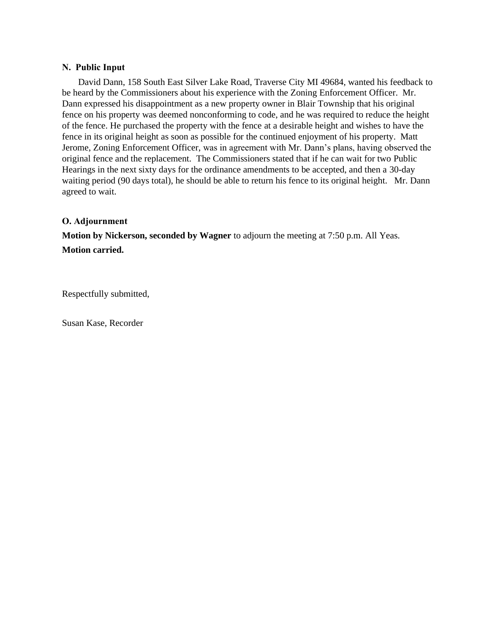#### **N. Public Input**

 David Dann, 158 South East Silver Lake Road, Traverse City MI 49684, wanted his feedback to be heard by the Commissioners about his experience with the Zoning Enforcement Officer. Mr. Dann expressed his disappointment as a new property owner in Blair Township that his original fence on his property was deemed nonconforming to code, and he was required to reduce the height of the fence. He purchased the property with the fence at a desirable height and wishes to have the fence in its original height as soon as possible for the continued enjoyment of his property. Matt Jerome, Zoning Enforcement Officer, was in agreement with Mr. Dann's plans, having observed the original fence and the replacement. The Commissioners stated that if he can wait for two Public Hearings in the next sixty days for the ordinance amendments to be accepted, and then a 30-day waiting period (90 days total), he should be able to return his fence to its original height. Mr. Dann agreed to wait.

#### **O. Adjournment**

**Motion by Nickerson, seconded by Wagner** to adjourn the meeting at 7:50 p.m. All Yeas. **Motion carried.** 

Respectfully submitted,

Susan Kase, Recorder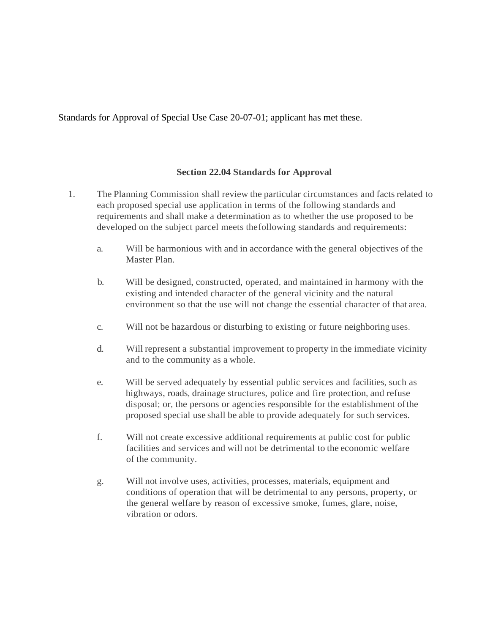Standards for Approval of Special Use Case 20-07-01; applicant has met these.

### **Section 22.04 Standards for Approval**

- 1. The Planning Commission shall review the particular circumstances and facts related to each proposed special use application in terms of the following standards and requirements and shall make a determination as to whether the use proposed to be developed on the subject parcel meets thefollowing standards and requirements:
	- a. Will be harmonious with and in accordance with the general objectives of the Master Plan.
	- b. Will be designed, constructed, operated, and maintained in harmony with the existing and intended character of the general vicinity and the natural environment so that the use will not change the essential character of that area.
	- c. Will not be hazardous or disturbing to existing or future neighboring uses.
	- d. Will represent a substantial improvement to property in the immediate vicinity and to the community as a whole.
	- e. Will be served adequately by essential public services and facilities, such as highways, roads, drainage structures, police and fire protection, and refuse disposal; or, the persons or agencies responsible for the establishment ofthe proposed special use shall be able to provide adequately for such services.
	- f. Will not create excessive additional requirements at public cost for public facilities and services and will not be detrimental to the economic welfare of the community.
	- g. Will not involve uses, activities, processes, materials, equipment and conditions of operation that will be detrimental to any persons, property, or the general welfare by reason of excessive smoke, fumes, glare, noise, vibration or odors.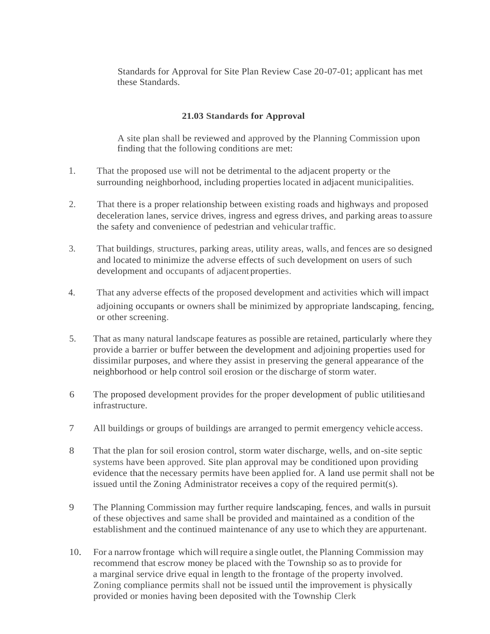Standards for Approval for Site Plan Review Case 20-07-01; applicant has met these Standards.

#### **21.03 Standards for Approval**

A site plan shall be reviewed and approved by the Planning Commission upon finding that the following conditions are met:

- 1. That the proposed use will not be detrimental to the adjacent property or the surrounding neighborhood, including properties located in adjacent municipalities.
- 2. That there is a proper relationship between existing roads and highways and proposed deceleration lanes, service drives, ingress and egress drives, and parking areas toassure the safety and convenience of pedestrian and vehicular traffic.
- 3. That buildings, structures, parking areas, utility areas, walls, and fences are so designed and located to minimize the adverse effects of such development on users of such development and occupants of adjacent properties.
- 4. That any adverse effects of the proposed development and activities which will impact adjoining occupants or owners shall be minimized by appropriate landscaping, fencing, or other screening.
- 5. That as many natural landscape features as possible are retained, particularly where they provide a barrier or buffer between the development and adjoining properties used for dissimilar purposes, and where they assist in preserving the general appearance of the neighborhood or help control soil erosion or the discharge of storm water.
- 6 The proposed development provides for the proper development of public utilitiesand infrastructure.
- 7 All buildings or groups of buildings are arranged to permit emergency vehicle access.
- 8 That the plan for soil erosion control, storm water discharge, wells, and on-site septic systems have been approved. Site plan approval may be conditioned upon providing evidence that the necessary permits have been applied for. A land use permit shall not be issued until the Zoning Administrator receives a copy of the required permit(s).
- 9 The Planning Commission may further require landscaping, fences, and walls in pursuit of these objectives and same shall be provided and maintained as a condition of the establishment and the continued maintenance of any use to which they are appurtenant.
- 10. For a narrowfrontage which will require a single outlet, the Planning Commission may recommend that escrow money be placed with the Township so as to provide for a marginal service drive equal in length to the frontage of the property involved. Zoning compliance permits shall not be issued until the improvement is physically provided or monies having been deposited with the Township Clerk